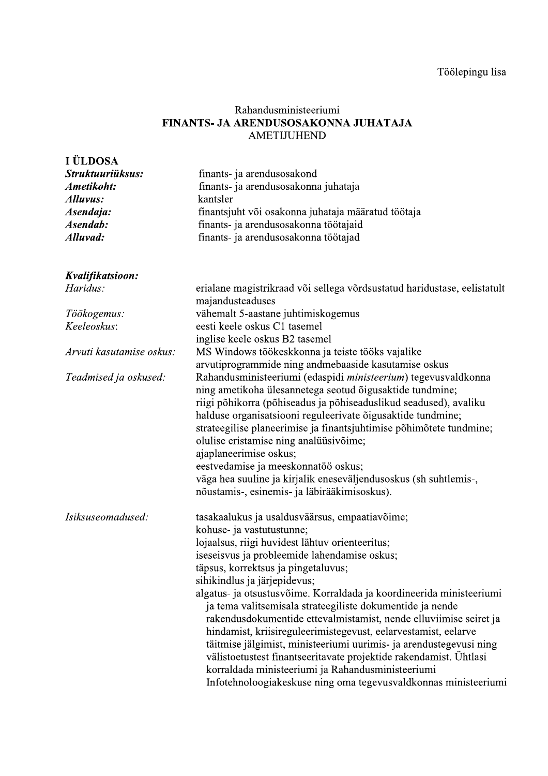## Rahandusministeeriumi FINANTS- JA ARENDUSOSAKONNA JUHATAJA AMETIJUHEND

| I ÜLDOSA<br>Struktuuriüksus:<br>Ametikoht:<br><b>Alluvus:</b><br>Asendaja:<br>Asendab:<br>Alluvad: | finants- ja arendusosakond<br>finants- ja arendusosakonna juhataja<br>kantsler<br>finantsjuht või osakonna juhataja määratud töötaja<br>finants- ja arendusosakonna töötajaid<br>finants- ja arendusosakonna töötajad                                                                                                                                                                                                                                                                                                                                                                                                                                                                                                                                                                                                                                |
|----------------------------------------------------------------------------------------------------|------------------------------------------------------------------------------------------------------------------------------------------------------------------------------------------------------------------------------------------------------------------------------------------------------------------------------------------------------------------------------------------------------------------------------------------------------------------------------------------------------------------------------------------------------------------------------------------------------------------------------------------------------------------------------------------------------------------------------------------------------------------------------------------------------------------------------------------------------|
| Kvalifikatsioon:                                                                                   |                                                                                                                                                                                                                                                                                                                                                                                                                                                                                                                                                                                                                                                                                                                                                                                                                                                      |
| Haridus:                                                                                           | erialane magistrikraad või sellega võrdsustatud haridustase, eelistatult<br>majandusteaduses                                                                                                                                                                                                                                                                                                                                                                                                                                                                                                                                                                                                                                                                                                                                                         |
| Töökogemus:                                                                                        | vähemalt 5-aastane juhtimiskogemus                                                                                                                                                                                                                                                                                                                                                                                                                                                                                                                                                                                                                                                                                                                                                                                                                   |
| Keeleoskus:                                                                                        | eesti keele oskus C1 tasemel                                                                                                                                                                                                                                                                                                                                                                                                                                                                                                                                                                                                                                                                                                                                                                                                                         |
|                                                                                                    | inglise keele oskus B2 tasemel                                                                                                                                                                                                                                                                                                                                                                                                                                                                                                                                                                                                                                                                                                                                                                                                                       |
| Arvuti kasutamise oskus:                                                                           | MS Windows töökeskkonna ja teiste tööks vajalike                                                                                                                                                                                                                                                                                                                                                                                                                                                                                                                                                                                                                                                                                                                                                                                                     |
| Teadmised ja oskused:                                                                              | arvutiprogrammide ning andmebaaside kasutamise oskus<br>Rahandusministeeriumi (edaspidi ministeerium) tegevusvaldkonna<br>ning ametikoha ülesannetega seotud õigusaktide tundmine;<br>riigi põhikorra (põhiseadus ja põhiseaduslikud seadused), avaliku<br>halduse organisatsiooni reguleerivate õigusaktide tundmine;<br>strateegilise planeerimise ja finantsjuhtimise põhimõtete tundmine;<br>olulise eristamise ning analüüsivõime;<br>ajaplaneerimise oskus;<br>eestvedamise ja meeskonnatöö oskus;<br>väga hea suuline ja kirjalik eneseväljendusoskus (sh suhtlemis-,                                                                                                                                                                                                                                                                         |
| Isiksuseomadused:                                                                                  | nõustamis-, esinemis- ja läbirääkimisoskus).<br>tasakaalukus ja usaldusväärsus, empaatiavõime;<br>kohuse- ja vastutustunne;<br>lojaalsus, riigi huvidest lähtuv orienteeritus;<br>iseseisvus ja probleemide lahendamise oskus;<br>täpsus, korrektsus ja pingetaluvus;<br>sihikindlus ja järjepidevus;<br>algatus- ja otsustusvõime. Korraldada ja koordineerida ministeeriumi<br>ja tema valitsemisala strateegiliste dokumentide ja nende<br>rakendusdokumentide ettevalmistamist, nende elluviimise seiret ja<br>hindamist, kriisireguleerimistegevust, eelarvestamist, eelarve<br>täitmise jälgimist, ministeeriumi uurimis- ja arendustegevusi ning<br>välistoetustest finantseeritavate projektide rakendamist. Ühtlasi<br>korraldada ministeeriumi ja Rahandusministeeriumi<br>Infotehnoloogiakeskuse ning oma tegevusvaldkonnas ministeeriumi |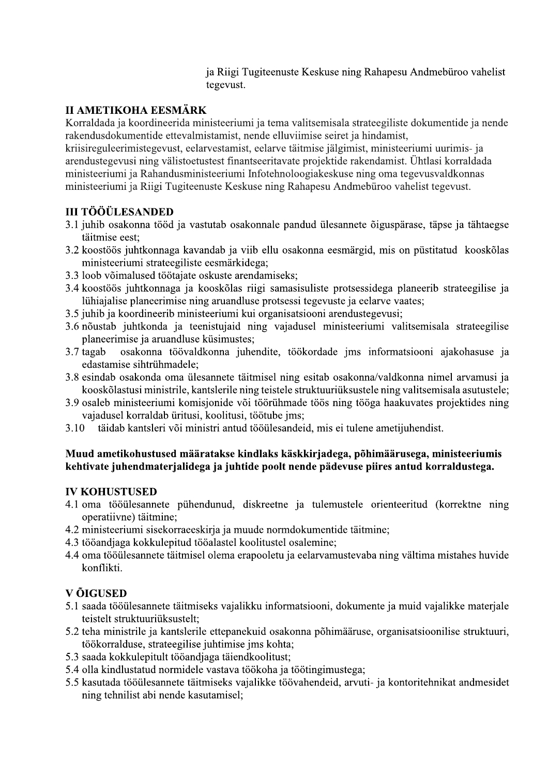ja Riigi Tugiteenuste Keskuse ning Rahapesu Andmeburoo vahelist tegevust.

ia Riigi Tugiteenuste Keskuse ning Rahapesu Andmebüroo vahelist<br>
tegevust.<br>
II AMETIKOHA EESMÄRK<br>
Korraldada ja koordineerida ministeeriumi ja tema valitsemisala strateegiliste dokumentide ja nende<br>
rakendusdokumentide ett eelarvestamist, eelarve taitmise jalgimist, minis kriisireguleerimistegevust, eelarvestamist, eelarve taitmise jalgimist, ministeeriumi uurimis- ja<br>arendustegevusi ning välistoetustest finantseeritavate projektide rakendamist. Ühtlasi korraldada ministeeriumi ja Rahandusministeeriumi Infotehnoloogiakeskuse ning oma tegevusvaldkonnas<br>ministeeriumi ja Riigi Tugiteenuste Keskuse ning Rahapesu Andmebüroo vahelist tegevust.

# **III TÖÖÜLESANDED**

- 3.1 juhib osakonna tood ja vastutab osakonnale pandud ulesannete oigusparase, tapse ja tahtaegse täitmise eest;
- taitmise eest;<br>3.2 koostöös juhtkonnaga kavandab ja viib ellu osakonna eesmärgid, mis on püstitatud kooskõlas ministeeriumi strateegiliste eesmarkidega;
- ministeeriumi strateegiliste eesmarkidega;<br>3.3 loob võimalused töötajate oskuste arendamiseks;
- 3.4 koostoos juhtkonnaga ja kooskolas riigi samasisuliste protsessidega planeerib strateegilise ja luhiajalise planeerimise ning aruandluse protsessi tegevuste ja eelarve va
- 
- luhiajalise planeerimise ning aruandluse protsessi tegevuste ja eelarve vaates;<br>3.5 juhib ja koordineerib ministeeriumi kui organisatsiooni arendustegevusi;<br>3.6 nõustab juhtkonda ja teenistujaid ning vajadusel ministeerium planeerimise ja aruandluse ku
- planeerimise ja aruandluse kusimustes;<br>3.7 tagab osakonna töövaldkonna juhendite, töökordade jms informatsiooni ajakohasuse ja edastamise sihtrühmadele;
- edastamise sintruhmadele;<br>3.8 esindab osakonda oma ülesannete täitmisel ning esitab osakonna/valdkonna nimel arvamusi ja kooskolastusi ministrile, kantslerile ning teistele struktuuriuksustele ning valitsemisala asutustele;
- 3.9 osaleb ministeeriumi komisjonide voi tooruhmade toos ning tooga haakuvates projektides ning vajadusel korraldab uritusi, koolitusi, tootube jn
- vajadusel korraldab uritusi, koolitusi, tootube jms;<br>3.10 täidab kantsleri või ministri antud tööülesandeid, mis ei tulene ametijuhendist.

## Muud ametikohustused määratakse kindlaks käskkirjadega, põhimäärusega, ministeeriumis kehtivate juhendmaterjalidega ja juhtide poolt nende pädevuse piires antud korraldustega.

## **IV KOHUSTUSED**

- 4.1 oma tooulesannete puhendunud, diskreetne ja tulemustele orienteeritud (korrektne ning operatiivne) taitmine
- operatiivne) taitmine;<br>4.2 ministeeriumi sisekorraeeskirja ja muude normdokumentide täitmine
- 4.2 ministeeriumi sisekorraeeskirja ja muude normdokumentide taitmine;<br>4.3 tööandjaga kokkulepitud tööalastel koolitustel osalemine;
- 4.3 tooandjaga kokkulepitud tooalastel koolitustel osalemine;<br>4.4 oma tööülesannete täitmisel olema erapooletu ja eelarvamustevaba ning vältima mistahes huvide konflikti.

# **V ÕIGUSED**

- 5.1 saada tooulesannete taitmiseks vajalikku informatsiooni, dokumente ja muid vajalikke materjale teistelt struktuuriüksustelt;
- teistelt struktuuriuksustelt;<br>5.2 teha ministrile ja kantslerile ettepanekuid osakonna põhimääruse, organisatsioonilise struktuuri, töökorralduse, strateegilise juhtimise jms kohta;
- tookorralduse, strateegilise juhtimise jms kohta;<br>5.3 saada kokkulepitult tööandjaga täiendkoolitust;
- 5.4 olla kindlustatud normidele vastava tookoha ja tooting
- 5.4 olla kindlustatud normidele vastava tookoha ja tootingimustega;<br>5.5 kasutada tööülesannete täitmiseks vajalikke töövahendeid, arvuti- ja kontoritehnikat andmesidet ning tehnilist abi nende kasutamisel;